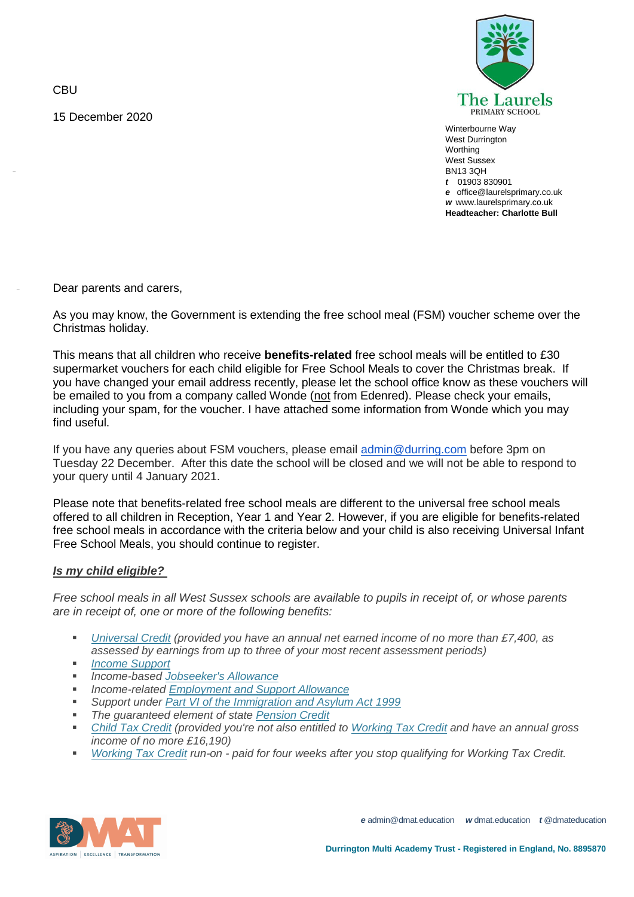**CBU** 

-

-

15 December 2020



Winterbourne Way West Durrington **Worthing** West Sussex BN13 3QH *t* 01903 830901 *e* office@laurelsprimary.co.uk *w* www.laurelsprimary.co.uk **Headteacher: Charlotte Bull**

Dear parents and carers,

As you may know, the Government is extending the free school meal (FSM) voucher scheme over the Christmas holiday.

This means that all children who receive **benefits-related** free school meals will be entitled to £30 supermarket vouchers for each child eligible for Free School Meals to cover the Christmas break. If you have changed your email address recently, please let the school office know as these vouchers will be emailed to you from a company called Wonde (not from Edenred). Please check your emails, including your spam, for the voucher. I have attached some information from Wonde which you may find useful.

If you have any queries about FSM vouchers, please email [admin@durring.com](mailto:admin@durring.com) before 3pm on Tuesday 22 December. After this date the school will be closed and we will not be able to respond to your query until 4 January 2021.

Please note that benefits-related free school meals are different to the universal free school meals offered to all children in Reception, Year 1 and Year 2. However, if you are eligible for benefits-related free school meals in accordance with the criteria below and your child is also receiving Universal Infant Free School Meals, you should continue to register.

## *Is my child eligible?*

*Free school meals in all West Sussex schools are available to pupils in receipt of, or whose parents are in receipt of, one or more of the following benefits:*

- *[Universal](https://www.gov.uk/universal-credit) Credit (provided you have an annual net earned income of no more than £7,400, as assessed by earnings from up to three of your most recent assessment periods)*
- *Income [Support](https://www.gov.uk/income-support)*
- *Income-based [Jobseeker's](https://www.gov.uk/jobseekers-allowance) Allowance*
- *Income-related [Employment](https://www.gov.uk/employment-support-allowance) and Support Allowance*
- *Support under Part VI of the [Immigration](http://www.legislation.gov.uk/ukpga/1999/33/part/VI) and Asylum Act 1999*
- *The guaranteed element of state [Pension](https://www.gov.uk/pension-credit) Credit*
- *Child Tax [Credit](https://www.gov.uk/child-tax-credit) (provided you're not also entitled to [Working](https://www.gov.uk/working-tax-credit) Tax Credit and have an annual gross income of no more £16,190)*
- *[Working](https://www.gov.uk/working-tax-credit/overview) Tax Credit run-on - paid for four weeks after you stop qualifying for Working Tax Credit.*



*e* admin@dmat.education *w* dmat.education *t* @dmateducation